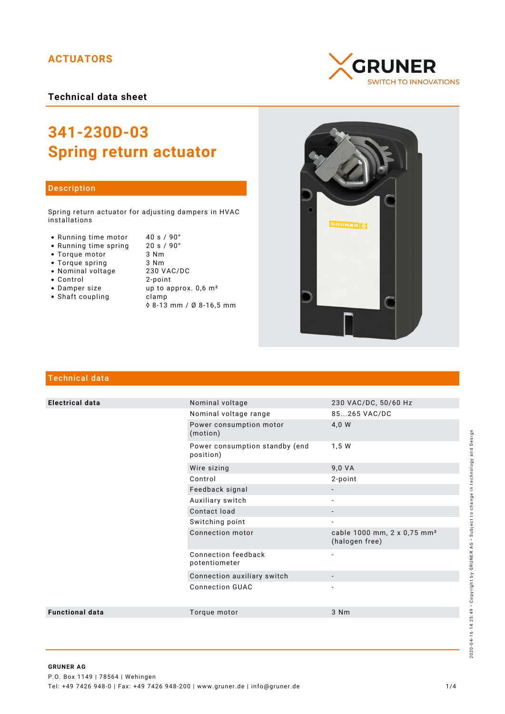# **ACTUATORS**

**Technical data sheet**



### Description

Spring return actuator for adjusting dampers in HVAC installations

• Running time motor 40 s / 90°

• Running time spring

- Torque motor
- Torque spring
- Nominal voltage
- Control
- 
- Shaft coupling becamp

| • Running time spring | $20 s / 90^{\circ}$              |
|-----------------------|----------------------------------|
| • Torque motor        | 3 Nm                             |
| • Torque spring       | 3 Nm                             |
| • Nominal voltage     | 230 VAC/DC                       |
| $\bullet$ Control     | 2-point                          |
| • Damper size         | up to approx. 0,6 m <sup>2</sup> |

◊ 8-13 mm / Ø 8-16,5 mm





## Technical data

| <b>Electrical data</b> | Nominal voltage                             | 230 VAC/DC, 50/60 Hz                                      |
|------------------------|---------------------------------------------|-----------------------------------------------------------|
|                        | Nominal voltage range                       | 85265 VAC/DC                                              |
|                        | Power consumption motor<br>(motion)         | 4,0 W                                                     |
|                        | Power consumption standby (end<br>position) | 1,5 W                                                     |
|                        | Wire sizing                                 | 9,0 VA                                                    |
|                        | Control                                     | 2-point                                                   |
|                        | Feedback signal                             |                                                           |
|                        | Auxiliary switch                            |                                                           |
|                        | Contact load                                |                                                           |
|                        | Switching point                             | $\overline{\phantom{a}}$                                  |
|                        | Connection motor                            | cable 1000 mm, 2 x 0,75 mm <sup>2</sup><br>(halogen free) |
|                        | Connection feedback<br>potentiometer        | $\overline{\phantom{a}}$                                  |
|                        | Connection auxiliary switch                 |                                                           |
|                        | <b>Connection GUAC</b>                      |                                                           |
| <b>Functional data</b> | Torque motor                                | 3 Nm                                                      |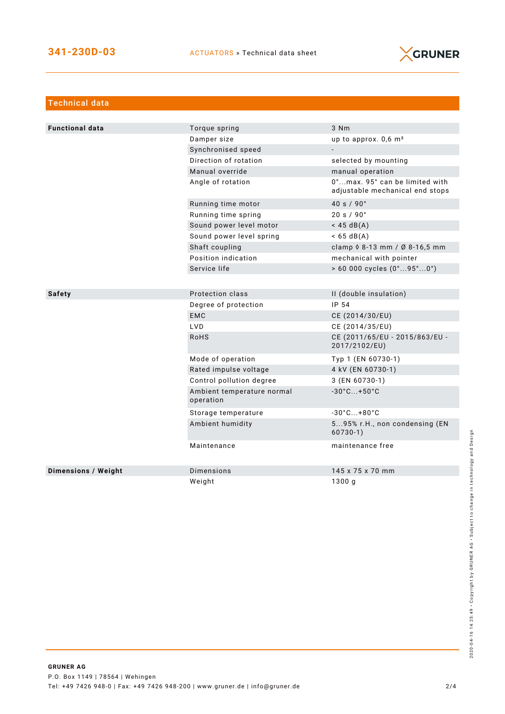

| <b>Technical data</b>      |                                         |                                                                   |
|----------------------------|-----------------------------------------|-------------------------------------------------------------------|
|                            |                                         |                                                                   |
| <b>Functional data</b>     | Torque spring                           | 3 Nm                                                              |
|                            | Damper size                             | up to approx. $0,6$ m <sup>2</sup>                                |
|                            | Synchronised speed                      |                                                                   |
|                            | Direction of rotation                   | selected by mounting                                              |
|                            | Manual override                         | manual operation                                                  |
|                            | Angle of rotation                       | 0°max. 95° can be limited with<br>adjustable mechanical end stops |
|                            | Running time motor                      | 40 s / 90°                                                        |
|                            | Running time spring                     | 20 s / 90°                                                        |
|                            | Sound power level motor                 | $<$ 45 dB(A)                                                      |
|                            | Sound power level spring                | $< 65 \text{ dB(A)}$                                              |
|                            | Shaft coupling                          | clamp $0.8 - 13$ mm / Ø 8-16,5 mm                                 |
|                            | Position indication                     | mechanical with pointer                                           |
|                            | Service life                            | $> 60000$ cycles $(0^{\circ}95^{\circ}0^{\circ})$                 |
|                            |                                         |                                                                   |
| <b>Safety</b>              | Protection class                        | II (double insulation)                                            |
|                            | Degree of protection                    | IP 54                                                             |
|                            | <b>EMC</b>                              | CE (2014/30/EU)                                                   |
|                            | LVD                                     | CE (2014/35/EU)                                                   |
|                            | <b>RoHS</b>                             | CE (2011/65/EU - 2015/863/EU -<br>2017/2102/EU)                   |
|                            | Mode of operation                       | Typ 1 (EN 60730-1)                                                |
|                            | Rated impulse voltage                   | 4 kV (EN 60730-1)                                                 |
|                            | Control pollution degree                | 3 (EN 60730-1)                                                    |
|                            | Ambient temperature normal<br>operation | $-30^{\circ}$ C +50 $^{\circ}$ C                                  |
|                            | Storage temperature                     | $-30^{\circ}$ C +80 $^{\circ}$ C                                  |
|                            | Ambient humidity                        | 595% r.H., non condensing (EN<br>$60730-1)$                       |
|                            | Maintenance                             | maintenance free                                                  |
| <b>Dimensions / Weight</b> | Dimensions                              | 145 x 75 x 70 mm                                                  |
|                            | Weight                                  | 1300g                                                             |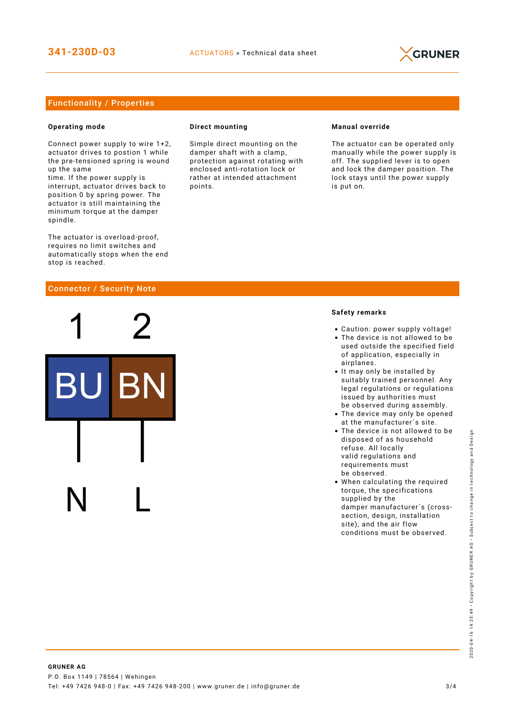

## Functionality / Properties

### **Operating mode**

Connect power supply to wire 1+2, actuator drives to postion 1 while the pre-tensioned spring is wound up the same

time. If the power supply is interrupt, actuator drives back to position 0 by spring power. The actuator is still maintaining the minimum torque at the damper spindle.

The actuator is overload-proof, requires no limit switches and automatically stops when the end stop is reached.

### Connector / Security Note

### **Direct mounting**

Simple direct mounting on the damper shaft with a clamp, protection against rotating with enclosed anti-rotation lock or rather at intended attachment points.

### **Manual override**

The actuator can be operated only manually while the power supply is off. The supplied lever is to open and lock the damper position. The lock stays until the power supply is put on.

### **Safety remarks**

- Caution: power supply voltage!
- The device is not allowed to be used outside the specified field of application, especially in airplanes.
- It may only be installed by suitably trained personnel. Any legal regulations or regulations issued by authorities must be observed during assembly.
- The device may only be opened at the manufacturer´s site.
- The device is not allowed to be disposed of as household refuse. All locally valid regulations and requirements must be observed.
- When calculating the required torque, the specifications supplied by the damper manufacturer´s (crosssection, design, installation site), and the air flow conditions must be observed.